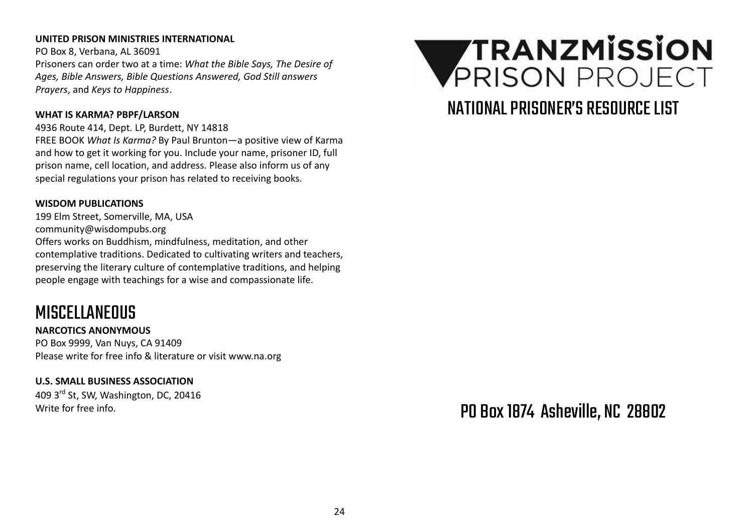#### **UNITED PRISON MINISTRIES INTERNATIONAL**

PO Box 8, Verbana, AL 36091 Prisoners can order two at a time: *What the Bible Says, The Desire of Ages, Bible Answers, Bible Questions Answered, God Still answers Prayers*, and *Keys to Happiness*.

#### **WHAT IS KARMA? PBPF/LARSON**

4936 Route 414, Dept. LP, Burdett, NY 14818 FREE BOOK *What Is Karma?* By Paul Brunton—a positive view of Karma and how to get it working for you. Include your name, prisoner ID, full prison name, cell location, and address. Please also inform us of any special regulations your prison has related to receiving books.

#### **WISDOM PUBLICATIONS**

199 Elm Street, Somerville, MA, USA community@wisdompubs.org Offers works on Buddhism, mindfulness, meditation, and other contemplative traditions. Dedicated to cultivating writers and teachers, preserving the literary culture of contemplative traditions, and helping people engage with teachings for a wise and compassionate life.

## **MISCELLANEOUS**

**NARCOTICS ANONYMOUS** PO Box 9999, Van Nuys, CA 91409 Please write for free info & literature or visit www.na.org

## **U.S. SMALL BUSINESS ASSOCIATION**

409 3rd St, SW, Washington, DC, 20416 Write for free info.



## NATIONAL PRISONFR'S RESOURCE LIST

PO Box1874 Asheville, NC 28802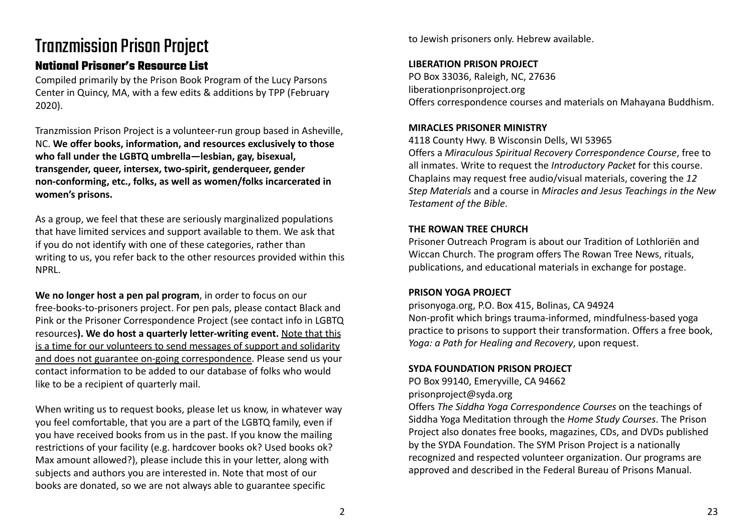# **Tranzmission Prison Project**

## **National Prisoner's Resource List**

Compiled primarily by the Prison Book Program of the Lucy Parsons Center in Quincy, MA, with a few edits & additions by TPP (February 2020).

Tranzmission Prison Project is a volunteer-run group based in Asheville, NC. **We offer books, information, and resources exclusively to those who fall under the LGBTQ umbrella—lesbian, gay, bisexual, transgender, queer, intersex, two-spirit, genderqueer, gender non-conforming, etc., folks, as well as women/folks incarcerated in women's prisons.**

As a group, we feel that these are seriously marginalized populations that have limited services and support available to them. We ask that if you do not identify with one of these categories, rather than writing to us, you refer back to the other resources provided within this NPRL.

**We no longer host a pen pal program**, in order to focus on our free-books-to-prisoners project. For pen pals, please contact Black and Pink or the Prisoner Correspondence Project (see contact info in LGBTQ resources**). We do host a quarterly letter-writing event.** Note that this is a time for our volunteers to send messages of support and solidarity and does not guarantee on-going correspondence. Please send us your contact information to be added to our database of folks who would like to be a recipient of quarterly mail.

When writing us to request books, please let us know, in whatever way you feel comfortable, that you are a part of the LGBTQ family, even if you have received books from us in the past. If you know the mailing restrictions of your facility (e.g. hardcover books ok? Used books ok? Max amount allowed?), please include this in your letter, along with subjects and authors you are interested in. Note that most of our books are donated, so we are not always able to guarantee specific

to Jewish prisoners only. Hebrew available.

## **LIBERATION PRISON PROJECT**

PO Box 33036, Raleigh, NC, 27636 liberationprisonproject.org Offers correspondence courses and materials on Mahayana Buddhism.

## **MIRACLES PRISONER MINISTRY**

4118 County Hwy. B Wisconsin Dells, WI 53965 Offers a *Miraculous Spiritual Recovery Correspondence Course*, free to all inmates. Write to request the *Introductory Packet* for this course. Chaplains may request free audio/visual materials, covering the *12 Step Materials* and a course in *Miracles and Jesus Teachings in the New Testament of the Bible*.

## **THE ROWAN TREE CHURCH**

Prisoner Outreach Program is about our Tradition of Lothloriën and Wiccan Church. The program offers The Rowan Tree News, rituals, publications, and educational materials in exchange for postage.

## **PRISON YOGA PROJECT**

prisonyoga.org, P.O. Box 415, Bolinas, CA 94924 Non-profit which brings trauma-informed, mindfulness-based yoga practice to prisons to support their transformation. Offers a free book, *Yoga: a Path for Healing and Recovery*, upon request.

## **SYDA FOUNDATION PRISON PROJECT**

PO Box 99140, Emeryville, CA 94662 prisonproject@syda.org

Offers *The Siddha Yoga Correspondence Courses* on the teachings of Siddha Yoga Meditation through the *Home Study Courses*. The Prison Project also donates free books, magazines, CDs, and DVDs published by the SYDA Foundation. The SYM Prison Project is a nationally recognized and respected volunteer organization. Our programs are approved and described in the Federal Bureau of Prisons Manual.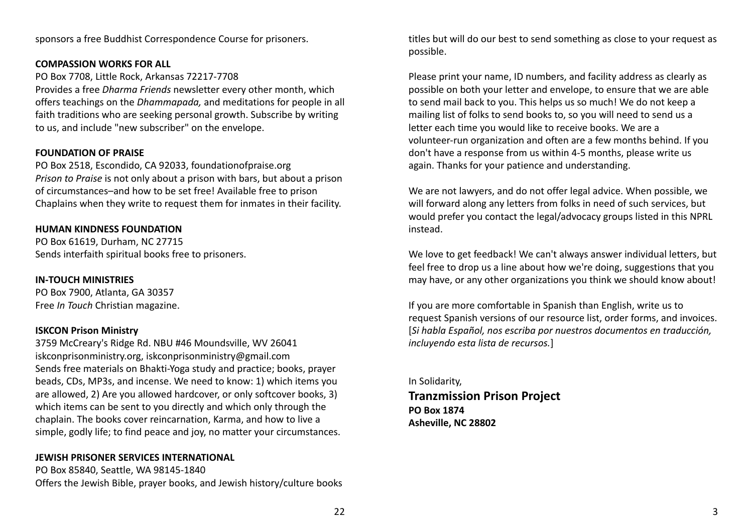sponsors a free Buddhist Correspondence Course for prisoners.

#### **COMPASSION WORKS FOR ALL**

PO Box 7708, Little Rock, Arkansas 72217-7708 Provides a free *Dharma Friends* newsletter every other month, which offers teachings on the *Dhammapada,* and meditations for people in all faith traditions who are seeking personal growth. Subscribe by writing to us, and include "new subscriber" on the envelope.

#### **FOUNDATION OF PRAISE**

PO Box 2518, Escondido, CA 92033, foundationofpraise.org *Prison to Praise* is not only about a prison with bars, but about a prison of circumstances–and how to be set free! Available free to prison Chaplains when they write to request them for inmates in their facility.

#### **HUMAN KINDNESS FOUNDATION**

PO Box 61619, Durham, NC 27715 Sends interfaith spiritual books free to prisoners.

**IN-TOUCH MINISTRIES** PO Box 7900, Atlanta, GA 30357 Free *In Touch* Christian magazine.

#### **ISKCON Prison Ministry**

3759 McCreary's Ridge Rd. NBU #46 Moundsville, WV 26041 iskconprisonministry.org, iskconprisonministry@gmail.com Sends free materials on Bhakti-Yoga study and practice; books, prayer beads, CDs, MP3s, and incense. We need to know: 1) which items you are allowed, 2) Are you allowed hardcover, or only softcover books, 3) which items can be sent to you directly and which only through the chaplain. The books cover reincarnation, Karma, and how to live a simple, godly life; to find peace and joy, no matter your circumstances.

#### **JEWISH PRISONER SERVICES INTERNATIONAL**

PO Box 85840, Seattle, WA 98145-1840 Offers the Jewish Bible, prayer books, and Jewish history/culture books titles but will do our best to send something as close to your request as possible.

Please print your name, ID numbers, and facility address as clearly as possible on both your letter and envelope, to ensure that we are able to send mail back to you. This helps us so much! We do not keep a mailing list of folks to send books to, so you will need to send us a letter each time you would like to receive books. We are a volunteer-run organization and often are a few months behind. If you don't have a response from us within 4-5 months, please write us again. Thanks for your patience and understanding.

We are not lawyers, and do not offer legal advice. When possible, we will forward along any letters from folks in need of such services, but would prefer you contact the legal/advocacy groups listed in this NPRL instead.

We love to get feedback! We can't always answer individual letters, but feel free to drop us a line about how we're doing, suggestions that you may have, or any other organizations you think we should know about!

If you are more comfortable in Spanish than English, write us to request Spanish versions of our resource list, order forms, and invoices. [*Si habla Español, nos escriba por nuestros documentos en traducción, incluyendo esta lista de recursos.*]

In Solidarity, **Tranzmission Prison Project PO Box 1874 Asheville, NC 28802**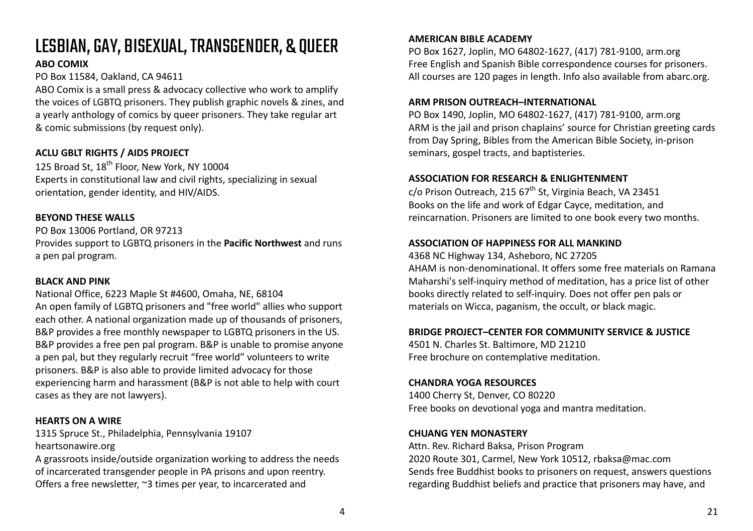# LESBIAN,GAY, BISEXUAL,TRANSGENDER, & QUEER

## **ABO COMIX**

PO Box 11584, Oakland, CA 94611

ABO Comix is a small press & advocacy collective who work to amplify the voices of LGBTQ prisoners. They publish graphic novels & zines, and a yearly anthology of comics by queer prisoners. They take regular art & comic submissions (by request only).

## **ACLU GBLT RIGHTS / AIDS PROJECT**

125 Broad St, 18<sup>th</sup> Floor, New York, NY 10004 Experts in constitutional law and civil rights, specializing in sexual orientation, gender identity, and HIV/AIDS.

## **BEYOND THESE WALLS**

PO Box 13006 Portland, OR 97213 Provides support to LGBTQ prisoners in the **Pacific Northwest** and runs a pen pal program.

## **BLACK AND PINK**

National Office, 6223 Maple St #4600, Omaha, NE, 68104 An open family of LGBTQ prisoners and "free world" allies who support each other. A national organization made up of thousands of prisoners, B&P provides a free monthly newspaper to LGBTQ prisoners in the US. B&P provides a free pen pal program. B&P is unable to promise anyone a pen pal, but they regularly recruit "free world" volunteers to write prisoners. B&P is also able to provide limited advocacy for those experiencing harm and harassment (B&P is not able to help with court cases as they are not lawyers).

#### **HEARTS ON A WIRE**

1315 Spruce St., Philadelphia, Pennsylvania 19107 heartsonawire.org

A grassroots inside/outside organization working to address the needs of incarcerated transgender people in PA prisons and upon reentry. Offers a free newsletter, ~3 times per year, to incarcerated and

## **AMERICAN BIBLE ACADEMY**

PO Box 1627, Joplin, MO 64802-1627, (417) 781-9100, arm.org Free English and Spanish Bible correspondence courses for prisoners. All courses are 120 pages in length. Info also available from abarc.org.

## **ARM PRISON OUTREACH–INTERNATIONAL**

PO Box 1490, Joplin, MO 64802-1627, (417) 781-9100, arm.org ARM is the jail and prison chaplains' source for Christian greeting cards from Day Spring, Bibles from the American Bible Society, in-prison seminars, gospel tracts, and baptisteries.

## **ASSOCIATION FOR RESEARCH & ENLIGHTENMENT**

 $c$ /o Prison Outreach, 215 67<sup>th</sup> St, Virginia Beach, VA 23451 Books on the life and work of Edgar Cayce, meditation, and reincarnation. Prisoners are limited to one book every two months.

## **ASSOCIATION OF HAPPINESS FOR ALL MANKIND**

4368 NC Highway 134, Asheboro, NC 27205 AHAM is non-denominational. It offers some free materials on Ramana Maharshi's self-inquiry method of meditation, has a price list of other books directly related to self-inquiry. Does not offer pen pals or materials on Wicca, paganism, the occult, or black magic.

## **BRIDGE PROJECT–CENTER FOR COMMUNITY SERVICE & JUSTICE**

4501 N. Charles St. Baltimore, MD 21210 Free brochure on contemplative meditation.

## **CHANDRA YOGA RESOURCES**

1400 Cherry St, Denver, CO 80220 Free books on devotional yoga and mantra meditation.

## **CHUANG YEN MONASTERY**

Attn. Rev. Richard Baksa, Prison Program 2020 Route 301, Carmel, New York 10512, rbaksa@mac.com Sends free Buddhist books to prisoners on request, answers questions regarding Buddhist beliefs and practice that prisoners may have, and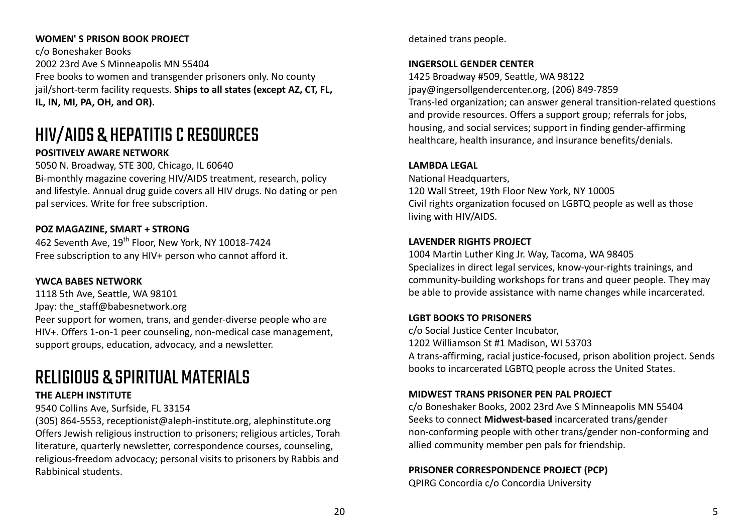#### **WOMEN' S PRISON BOOK PROJECT**

c/o Boneshaker Books 2002 23rd Ave S Minneapolis MN 55404 Free books to women and transgender prisoners only. No county jail/short-term facility requests. **Ships to all states (except AZ, CT, FL, IL, IN, MI, PA, OH, and OR).**

# HIV/AIDS & HEPATITISCRESOURCES

## **POSITIVELY AWARE NETWORK**

5050 N. Broadway, STE 300, Chicago, IL 60640 Bi-monthly magazine covering HIV/AIDS treatment, research, policy and lifestyle. Annual drug guide covers all HIV drugs. No dating or pen pal services. Write for free subscription.

## **POZ MAGAZINE, SMART + STRONG**

462 Seventh Ave, 19<sup>th</sup> Floor, New York, NY 10018-7424 Free subscription to any HIV+ person who cannot afford it.

#### **YWCA BABES NETWORK**

1118 5th Ave, Seattle, WA 98101 Jpay: the\_staff@babesnetwork.org Peer support for women, trans, and gender-diverse people who are HIV+. Offers 1-on-1 peer counseling, non-medical case management, support groups, education, advocacy, and a newsletter.

## RELIGIOUS & SPIRITUAL MATERIALS

#### **THE ALEPH INSTITUTE**

#### 9540 Collins Ave, Surfside, FL 33154

(305) 864-5553, receptionist@aleph-institute.org, alephinstitute.org Offers Jewish religious instruction to prisoners; religious articles, Torah literature, quarterly newsletter, correspondence courses, counseling, religious-freedom advocacy; personal visits to prisoners by Rabbis and Rabbinical students.

detained trans people.

#### **INGERSOLL GENDER CENTER**

1425 Broadway #509, Seattle, WA 98122 jpay@ingersollgendercenter.org, (206) 849-7859 Trans-led organization; can answer general transition-related questions and provide resources. Offers a support group; referrals for jobs, housing, and social services; support in finding gender-affirming healthcare, health insurance, and insurance benefits/denials.

#### **LAMBDA LEGAL**

National Headquarters. 120 Wall Street, 19th Floor New York, NY 10005 Civil rights organization focused on LGBTQ people as well as those living with HIV/AIDS.

#### **LAVENDER RIGHTS PROJECT**

1004 Martin Luther King Jr. Way, Tacoma, WA 98405 Specializes in direct legal services, know-your-rights trainings, and community-building workshops for trans and queer people. They may be able to provide assistance with name changes while incarcerated.

#### **LGBT BOOKS TO PRISONERS**

c/o Social Justice Center Incubator, 1202 Williamson St #1 Madison, WI 53703 A trans-affirming, racial justice-focused, prison abolition project. Sends books to incarcerated LGBTQ people across the United States.

#### **MIDWEST TRANS PRISONER PEN PAL PROJECT**

c/o Boneshaker Books, 2002 23rd Ave S Minneapolis MN 55404 Seeks to connect **Midwest-based** incarcerated trans/gender non-conforming people with other trans/gender non-conforming and allied community member pen pals for friendship.

## **PRISONER CORRESPONDENCE PROJECT (PCP)**

QPIRG Concordia c/o Concordia University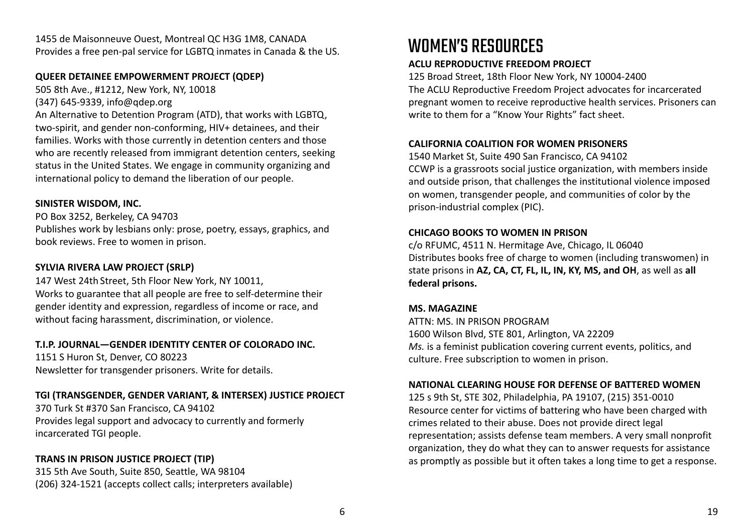1455 de Maisonneuve Ouest, Montreal QC H3G 1M8, CANADA Provides a free pen-pal service for LGBTQ inmates in Canada & the US.

#### **QUEER DETAINEE EMPOWERMENT PROJECT (QDEP)**

505 8th Ave., #1212, New York, NY, 10018

(347) 645-9339, info@qdep.org

An Alternative to Detention Program (ATD), that works with LGBTQ, two-spirit, and gender non-conforming, HIV+ detainees, and their families. Works with those currently in detention centers and those who are recently released from immigrant detention centers, seeking status in the United States. We engage in community organizing and international policy to demand the liberation of our people.

## **SINISTER WISDOM, INC.**

PO Box 3252, Berkeley, CA 94703 Publishes work by lesbians only: prose, poetry, essays, graphics, and book reviews. Free to women in prison.

## **SYLVIA RIVERA LAW PROJECT (SRLP)**

147 West 24th Street, 5th Floor New York, NY 10011, Works to guarantee that all people are free to self-determine their gender identity and expression, regardless of income or race, and without facing harassment, discrimination, or violence.

## **T.I.P. JOURNAL—GENDER IDENTITY CENTER OF COLORADO INC.**

1151 S Huron St, Denver, CO 80223 Newsletter for transgender prisoners. Write for details.

## **TGI (TRANSGENDER, GENDER VARIANT, & INTERSEX) JUSTICE PROJECT**

370 Turk St #370 San Francisco, CA 94102 Provides legal support and advocacy to currently and formerly incarcerated TGI people.

## **TRANS IN PRISON JUSTICE PROJECT (TIP)**

315 5th Ave South, Suite 850, Seattle, WA 98104 (206) 324-1521 (accepts collect calls; interpreters available)

# WOMEN'S RESOURCES

## **ACLU REPRODUCTIVE FREEDOM PROJECT**

125 Broad Street, 18th Floor New York, NY 10004-2400 The ACLU Reproductive Freedom Project advocates for incarcerated pregnant women to receive reproductive health services. Prisoners can write to them for a "Know Your Rights" fact sheet.

## **CALIFORNIA COALITION FOR WOMEN PRISONERS**

1540 Market St, Suite 490 San Francisco, CA 94102 CCWP is a grassroots social justice organization, with members inside and outside prison, that challenges the institutional violence imposed on women, transgender people, and communities of color by the prison-industrial complex (PIC).

## **CHICAGO BOOKS TO WOMEN IN PRISON**

c/o RFUMC, 4511 N. Hermitage Ave, Chicago, IL 06040 Distributes books free of charge to women (including transwomen) in state prisons in **AZ, CA, CT, FL, IL, IN, KY, MS, and OH**, as well as **all federal prisons.**

## **MS. MAGAZINE**

ATTN: MS. IN PRISON PROGRAM 1600 Wilson Blvd, STE 801, Arlington, VA 22209 *Ms.* is a feminist publication covering current events, politics, and culture. Free subscription to women in prison.

## **NATIONAL CLEARING HOUSE FOR DEFENSE OF BATTERED WOMEN**

125 s 9th St, STE 302, Philadelphia, PA 19107, (215) 351-0010 Resource center for victims of battering who have been charged with crimes related to their abuse. Does not provide direct legal representation; assists defense team members. A very small nonprofit organization, they do what they can to answer requests for assistance as promptly as possible but it often takes a long time to get a response.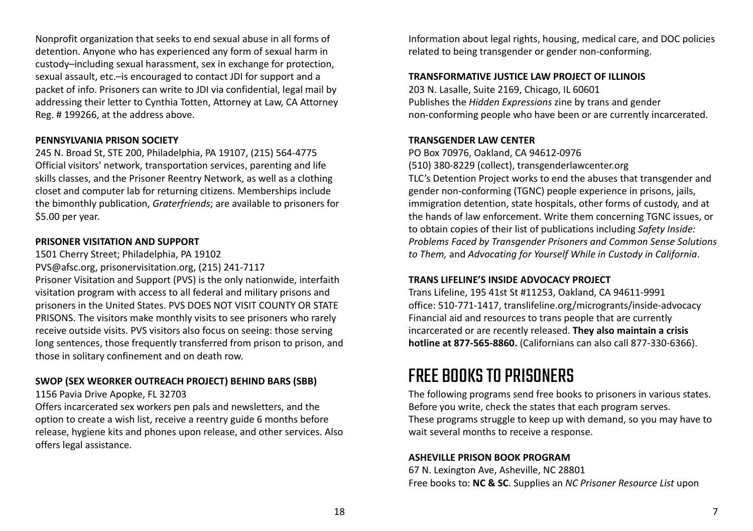Nonprofit organization that seeks to end sexual abuse in all forms of detention. Anyone who has experienced any form of sexual harm in custody–including sexual harassment, sex in exchange for protection, sexual assault, etc.–is encouraged to contact JDI for support and a packet of info. Prisoners can write to JDI via confidential, legal mail by addressing their letter to Cynthia Totten, Attorney at Law, CA Attorney Reg. # 199266, at the address above.

#### **PENNSYLVANIA PRISON SOCIETY**

245 N. Broad St, STE 200, Philadelphia, PA 19107, (215) 564-4775 Official visitors' network, transportation services, parenting and life skills classes, and the Prisoner Reentry Network, as well as a clothing closet and computer lab for returning citizens. Memberships include the bimonthly publication, *Graterfriends*; are available to prisoners for \$5.00 per year.

#### **PRISONER VISITATION AND SUPPORT**

1501 Cherry Street; Philadelphia, PA 19102 PVS@afsc.org, prisonervisitation.org, (215) 241-7117 Prisoner Visitation and Support (PVS) is the only nationwide, interfaith visitation program with access to all federal and military prisons and prisoners in the United States. PVS DOES NOT VISIT COUNTY OR STATE PRISONS. The visitors make monthly visits to see prisoners who rarely receive outside visits. PVS visitors also focus on seeing: those serving long sentences, those frequently transferred from prison to prison, and those in solitary confinement and on death row.

## **SWOP (SEX WEORKER OUTREACH PROJECT) BEHIND BARS (SBB)**

1156 Pavia Drive Apopke, FL 32703

Offers incarcerated sex workers pen pals and newsletters, and the option to create a wish list, receive a reentry guide 6 months before release, hygiene kits and phones upon release, and other services. Also offers legal assistance.

Information about legal rights, housing, medical care, and DOC policies related to being transgender or gender non-conforming.

#### **TRANSFORMATIVE JUSTICE LAW PROJECT OF ILLINOIS**

203 N. Lasalle, Suite 2169, Chicago, IL 60601 Publishes the *Hidden Expressions* zine by trans and gender non-conforming people who have been or are currently incarcerated.

#### **TRANSGENDER LAW CENTER**

PO Box 70976, Oakland, CA 94612-0976

(510) 380-8229 (collect), transgenderlawcenter.org

TLC's Detention Project works to end the abuses that transgender and gender non-conforming (TGNC) people experience in prisons, jails, immigration detention, state hospitals, other forms of custody, and at the hands of law enforcement. Write them concerning TGNC issues, or to obtain copies of their list of publications including *Safety Inside: Problems Faced by Transgender Prisoners and Common Sense Solutions to Them,* and *Advocating for Yourself While in Custody in California*.

#### **TRANS LIFELINE'S INSIDE ADVOCACY PROJECT**

Trans Lifeline, 195 41st St #11253, Oakland, CA 94611-9991 office: 510-771-1417, translifeline.org/microgrants/inside-advocacy Financial aid and resources to trans people that are currently incarcerated or are recently released. **They also maintain a crisis hotline at 877-565-8860.** (Californians can also call 877-330-6366).

## FREE BOOKS TO PRISONERS

The following programs send free books to prisoners in various states. Before you write, check the states that each program serves. These programs struggle to keep up with demand, so you may have to wait several months to receive a response.

#### **ASHEVILLE PRISON BOOK PROGRAM**

67 N. Lexington Ave, Asheville, NC 28801 Free books to: **NC & SC**. Supplies an *NC Prisoner Resource List* upon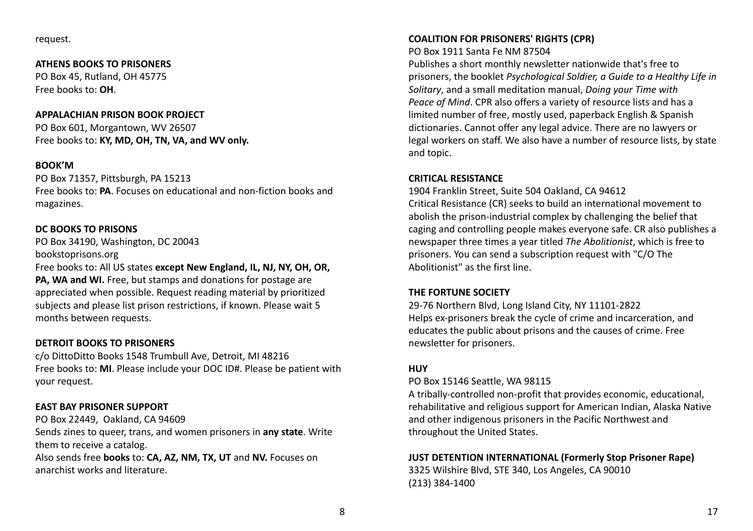request.

#### **ATHENS BOOKS TO PRISONERS**

PO Box 45, Rutland, OH 45775 Free books to: **OH**.

#### **APPALACHIAN PRISON BOOK PROJECT**

PO Box 601, Morgantown, WV 26507 Free books to: **KY, MD, OH, TN, VA, and WV only.**

#### **BOOK'M**

PO Box 71357, Pittsburgh, PA 15213 Free books to: **PA**. Focuses on educational and non-fiction books and magazines.

#### **DC BOOKS TO PRISONS**

PO Box 34190, Washington, DC 20043 bookstoprisons.org

Free books to: All US states **except New England, IL, NJ, NY, OH, OR, PA, WA and WI.** Free, but stamps and donations for postage are appreciated when possible. Request reading material by prioritized subjects and please list prison restrictions, if known. Please wait 5 months between requests.

#### **DETROIT BOOKS TO PRISONERS**

c/o DittoDitto Books 1548 Trumbull Ave, Detroit, MI 48216 Free books to: **MI**. Please include your DOC ID#. Please be patient with your request.

#### **EAST BAY PRISONER SUPPORT**

PO Box 22449, Oakland, CA 94609

Sends zines to queer, trans, and women prisoners in **any state**. Write them to receive a catalog.

Also sends free **books** to: **CA, AZ, NM, TX, UT** and **NV.** Focuses on anarchist works and literature.

#### **COALITION FOR PRISONERS' RIGHTS (CPR)**

#### PO Box 1911 Santa Fe NM 87504

Publishes a short monthly newsletter nationwide that's free to prisoners, the booklet *Psychological Soldier, a Guide to a Healthy Life in Solitary*, and a small meditation manual, *Doing your Time with Peace of Mind*. CPR also offers a variety of resource lists and has a limited number of free, mostly used, paperback English & Spanish dictionaries. Cannot offer any legal advice. There are no lawyers or legal workers on staff. We also have a number of resource lists, by state and topic.

#### **CRITICAL RESISTANCE**

1904 Franklin Street, Suite 504 Oakland, CA 94612

Critical Resistance (CR) seeks to build an international movement to abolish the prison-industrial complex by challenging the belief that caging and controlling people makes everyone safe. CR also publishes a newspaper three times a year titled *The Abolitionist*, which is free to prisoners. You can send a subscription request with "C/O The Abolitionist" as the first line.

#### **THE FORTUNE SOCIETY**

29-76 Northern Blvd, Long Island City, NY 11101-2822 Helps ex-prisoners break the cycle of crime and incarceration, and educates the public about prisons and the causes of crime. Free newsletter for prisoners.

#### **HUY**

PO Box 15146 Seattle, WA 98115

A tribally-controlled non-profit that provides economic, educational, rehabilitative and religious support for American Indian, Alaska Native and other indigenous prisoners in the Pacific Northwest and throughout the United States.

## **JUST DETENTION INTERNATIONAL (Formerly Stop Prisoner Rape)**

3325 Wilshire Blvd, STE 340, Los Angeles, CA 90010 (213) 384-1400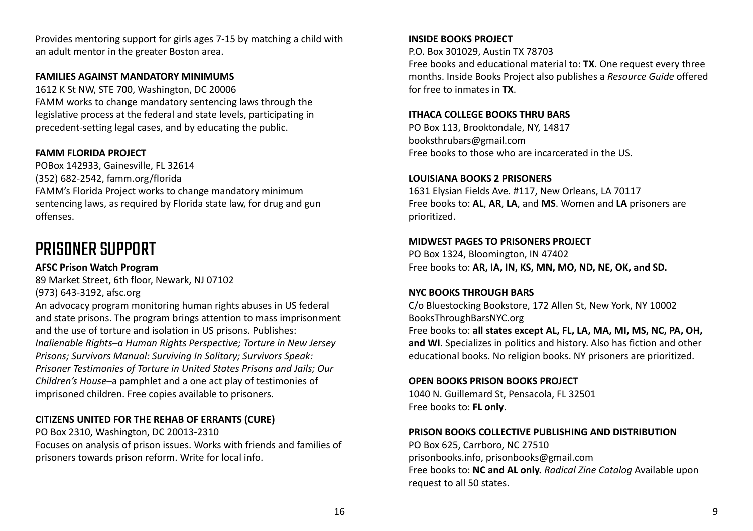Provides mentoring support for girls ages 7-15 by matching a child with an adult mentor in the greater Boston area.

#### **FAMILIES AGAINST MANDATORY MINIMUMS**

1612 K St NW, STE 700, Washington, DC 20006 FAMM works to change mandatory sentencing laws through the legislative process at the federal and state levels, participating in precedent-setting legal cases, and by educating the public.

#### **FAMM FLORIDA PROJECT**

POBox 142933, Gainesville, FL 32614 (352) 682-2542, famm.org/florida FAMM's Florida Project works to change mandatory minimum sentencing laws, as required by Florida state law, for drug and gun offenses.

## PRISONER SUPPORT

**AFSC Prison Watch Program** 89 Market Street, 6th floor, Newark, NJ 07102 (973) 643-3192, afsc.org

An advocacy program monitoring human rights abuses in US federal and state prisons. The program brings attention to mass imprisonment and the use of torture and isolation in US prisons. Publishes: *Inalienable Rights–a Human Rights Perspective; Torture in New Jersey Prisons; Survivors Manual: Surviving In Solitary; Survivors Speak: Prisoner Testimonies of Torture in United States Prisons and Jails; Our Children's House*–a pamphlet and a one act play of testimonies of imprisoned children. Free copies available to prisoners.

#### **CITIZENS UNITED FOR THE REHAB OF ERRANTS (CURE)**

PO Box 2310, Washington, DC 20013-2310 Focuses on analysis of prison issues. Works with friends and families of prisoners towards prison reform. Write for local info.

#### **INSIDE BOOKS PROJECT**

P.O. Box 301029, Austin TX 78703

Free books and educational material to: **TX**. One request every three months. Inside Books Project also publishes a *Resource Guide* offered for free to inmates in **TX**.

#### **ITHACA COLLEGE BOOKS THRU BARS**

PO Box 113, Brooktondale, NY, 14817 booksthrubars@gmail.com Free books to those who are incarcerated in the US.

#### **LOUISIANA BOOKS 2 PRISONERS**

1631 Elysian Fields Ave. #117, New Orleans, LA 70117 Free books to: **AL**, **AR**, **LA**, and **MS**. Women and **LA** prisoners are prioritized.

#### **MIDWEST PAGES TO PRISONERS PROJECT**

PO Box 1324, Bloomington, IN 47402 Free books to: **AR, IA, IN, KS, MN, MO, ND, NE, OK, and SD.**

#### **NYC BOOKS THROUGH BARS**

C/o Bluestocking Bookstore, 172 Allen St, New York, NY 10002 BooksThroughBarsNYC.org Free books to: **all states except AL, FL, LA, MA, MI, MS, NC, PA, OH, and WI**. Specializes in politics and history. Also has fiction and other educational books. No religion books. NY prisoners are prioritized.

#### **OPEN BOOKS PRISON BOOKS PROJECT**

1040 N. Guillemard St, Pensacola, FL 32501 Free books to: **FL only**.

#### **PRISON BOOKS COLLECTIVE PUBLISHING AND DISTRIBUTION**

PO Box 625, Carrboro, NC 27510 prisonbooks.info, prisonbooks@gmail.com Free books to: **NC and AL only.** *Radical Zine Catalog* Available upon request to all 50 states.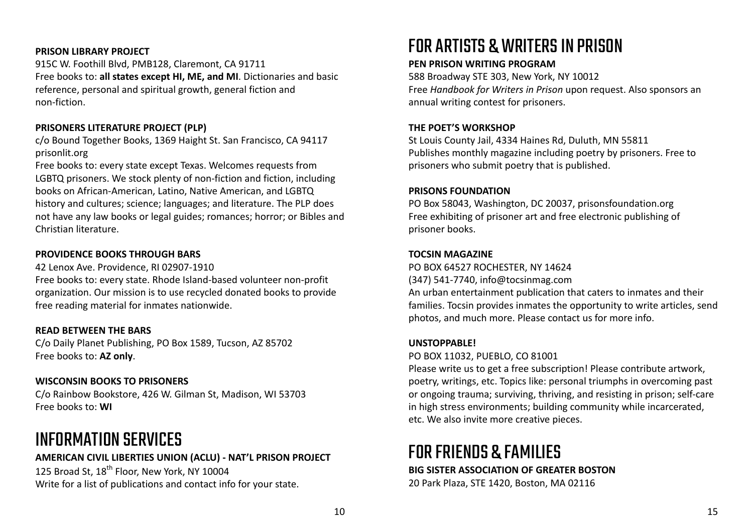#### **PRISON LIBRARY PROJECT**

915C W. Foothill Blvd, PMB128, Claremont, CA 91711 Free books to: **all states except HI, ME, and MI**. Dictionaries and basic reference, personal and spiritual growth, general fiction and non-fiction.

#### **PRISONERS LITERATURE PROJECT (PLP)**

c/o Bound Together Books, 1369 Haight St. San Francisco, CA 94117 prisonlit.org

Free books to: every state except Texas. Welcomes requests from LGBTQ prisoners. We stock plenty of non-fiction and fiction, including books on African-American, Latino, Native American, and LGBTQ history and cultures; science; languages; and literature. The PLP does not have any law books or legal guides; romances; horror; or Bibles and Christian literature.

#### **PROVIDENCE BOOKS THROUGH BARS**

42 Lenox Ave. Providence, RI 02907-1910

Free books to: every state. Rhode Island-based volunteer non-profit organization. Our mission is to use recycled donated books to provide free reading material for inmates nationwide.

#### **READ BETWEEN THE BARS**

C/o Daily Planet Publishing, PO Box 1589, Tucson, AZ 85702 Free books to: **AZ only**.

#### **WISCONSIN BOOKS TO PRISONERS**

C/o Rainbow Bookstore, 426 W. Gilman St, Madison, WI 53703 Free books to: **WI**

## INFORMATION SERVICES

#### **AMERICAN CIVIL LIBERTIES UNION (ACLU) - NAT'L PRISON PROJECT**

125 Broad St, 18<sup>th</sup> Floor, New York, NY 10004 Write for a list of publications and contact info for your state.

# FORARTISTS &WRITERSIN PRISON

#### **PEN PRISON WRITING PROGRAM**

588 Broadway STE 303, New York, NY 10012 Free *Handbook for Writers in Prison* upon request. Also sponsors an annual writing contest for prisoners.

#### **THE POET'S WORKSHOP**

St Louis County Jail, 4334 Haines Rd, Duluth, MN 55811 Publishes monthly magazine including poetry by prisoners. Free to prisoners who submit poetry that is published.

#### **PRISONS FOUNDATION**

PO Box 58043, Washington, DC 20037, prisonsfoundation.org Free exhibiting of prisoner art and free electronic publishing of prisoner books.

#### **TOCSIN MAGAZINE**

PO BOX 64527 ROCHESTER, NY 14624 (347) 541-7740, info@tocsinmag.com An urban entertainment publication that caters to inmates and their families. Tocsin provides inmates the opportunity to write articles, send photos, and much more. Please contact us for more info.

#### **UNSTOPPABLE!**

PO BOX 11032, PUEBLO, CO 81001

Please write us to get a free subscription! Please contribute artwork, poetry, writings, etc. Topics like: personal triumphs in overcoming past or ongoing trauma; surviving, thriving, and resisting in prison; self-care in high stress environments; building community while incarcerated, etc. We also invite more creative pieces.

# FORFRIENDS & FAMILIES

#### **BIG SISTER ASSOCIATION OF GREATER BOSTON**

20 Park Plaza, STE 1420, Boston, MA 02116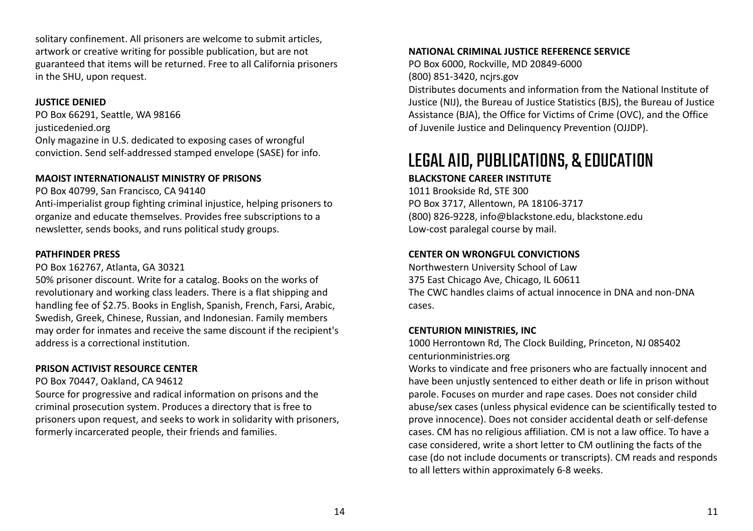solitary confinement. All prisoners are welcome to submit articles, artwork or creative writing for possible publication, but are not guaranteed that items will be returned. Free to all California prisoners in the SHU, upon request.

#### **JUSTICE DENIED**

PO Box 66291, Seattle, WA 98166 justicedenied.org Only magazine in U.S. dedicated to exposing cases of wrongful conviction. Send self-addressed stamped envelope (SASE) for info.

## **MAOIST INTERNATIONALIST MINISTRY OF PRISONS**

PO Box 40799, San Francisco, CA 94140

Anti-imperialist group fighting criminal injustice, helping prisoners to organize and educate themselves. Provides free subscriptions to a newsletter, sends books, and runs political study groups.

## **PATHFINDER PRESS**

PO Box 162767, Atlanta, GA 30321

50% prisoner discount. Write for a catalog. Books on the works of revolutionary and working class leaders. There is a flat shipping and handling fee of \$2.75. Books in English, Spanish, French, Farsi, Arabic, Swedish, Greek, Chinese, Russian, and Indonesian. Family members may order for inmates and receive the same discount if the recipient's address is a correctional institution.

## **PRISON ACTIVIST RESOURCE CENTER**

PO Box 70447, Oakland, CA 94612

Source for progressive and radical information on prisons and the criminal prosecution system. Produces a directory that is free to prisoners upon request, and seeks to work in solidarity with prisoners, formerly incarcerated people, their friends and families.

## **NATIONAL CRIMINAL JUSTICE REFERENCE SERVICE**

PO Box 6000, Rockville, MD 20849-6000 (800) 851-3420, ncjrs.gov

Distributes documents and information from the National Institute of Justice (NIJ), the Bureau of Justice Statistics (BJS), the Bureau of Justice Assistance (BJA), the Office for Victims of Crime (OVC), and the Office of Juvenile Justice and Delinquency Prevention (OJJDP).

# LEGALAID,PUBLICATIONS, & EDUCATION

## **BLACKSTONE CAREER INSTITUTE**

1011 Brookside Rd, STE 300 PO Box 3717, Allentown, PA 18106-3717 (800) 826-9228, info@blackstone.edu, blackstone.edu Low-cost paralegal course by mail.

## **CENTER ON WRONGFUL CONVICTIONS**

Northwestern University School of Law 375 East Chicago Ave, Chicago, IL 60611 The CWC handles claims of actual innocence in DNA and non-DNA cases.

## **CENTURION MINISTRIES, INC**

1000 Herrontown Rd, The Clock Building, Princeton, NJ 085402 centurionministries.org

Works to vindicate and free prisoners who are factually innocent and have been unjustly sentenced to either death or life in prison without parole. Focuses on murder and rape cases. Does not consider child abuse/sex cases (unless physical evidence can be scientifically tested to prove innocence). Does not consider accidental death or self-defense cases. CM has no religious affiliation. CM is not a law office. To have a case considered, write a short letter to CM outlining the facts of the case (do not include documents or transcripts). CM reads and responds to all letters within approximately 6-8 weeks.